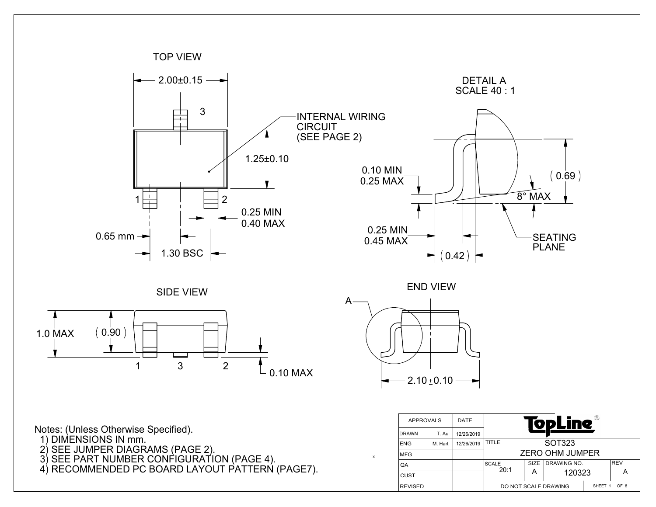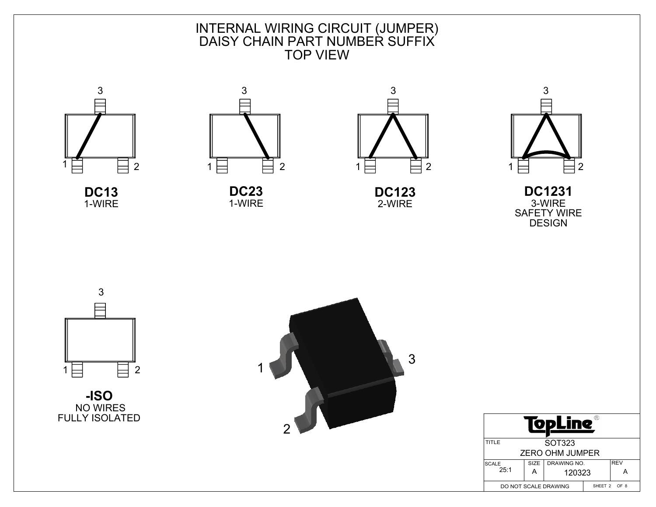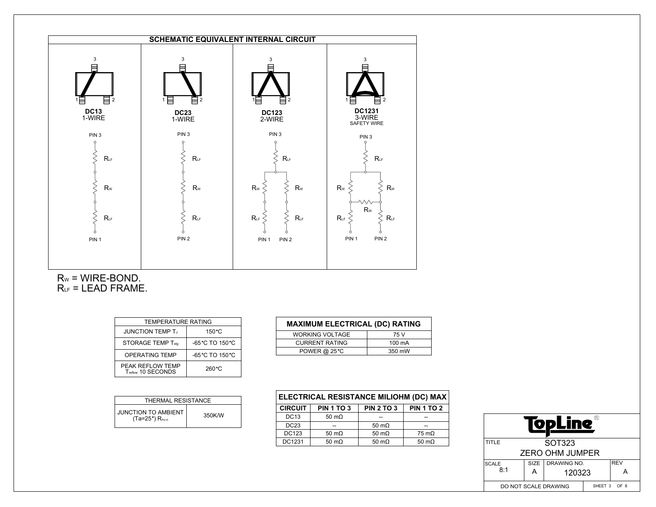

 $R_W = WIRE-BOND.$  $R_{LF}$  = LEAD FRAME.

| <b>TEMPERATURE RATING</b>                  |                  |  |  |  |
|--------------------------------------------|------------------|--|--|--|
| <b>JUNCTION TEMP T.</b><br>$150^{\circ}$ C |                  |  |  |  |
| <b>STORAGE TEMP Tstg</b>                   | -65 °C TO 150 °C |  |  |  |
| <b>OPERATING TEMP</b>                      | -65°C TO 150°C   |  |  |  |
| PEAK REFLOW TEMP<br>Treflow 10 SECONDS     | 260 °C           |  |  |  |

| THERMAL RESISTANCE                                              |        |  |  |  |  |
|-----------------------------------------------------------------|--------|--|--|--|--|
| JUNCTION TO AMBIENT<br>(Ta=25 $^{\circ}$ ) R <sub>th(i-a)</sub> | 350K/W |  |  |  |  |

| <b>MAXIMUM ELECTRICAL (DC) RATING</b> |        |  |  |  |  |
|---------------------------------------|--------|--|--|--|--|
| <b>WORKING VOLTAGE</b>                | 75 V   |  |  |  |  |
| <b>CURRENT RATING</b>                 | 100 mA |  |  |  |  |
| <b>POWER @ 25 °C</b>                  | 350 mW |  |  |  |  |

| ELECTRICAL RESISTANCE MILIOHM (DC) MAX |                   |                   |                      |  |  |  |
|----------------------------------------|-------------------|-------------------|----------------------|--|--|--|
| <b>CIRCUIT</b>                         | <b>PIN 1 TO 3</b> | <b>PIN 2 TO 3</b> | <b>PIN 1 TO 2</b>    |  |  |  |
| <b>DC13</b>                            | 50 m $\Omega$     |                   | --                   |  |  |  |
| DC23                                   |                   | 50 m $\Omega$     |                      |  |  |  |
| DC123                                  | 50 m $\Omega$     | 50 $m\Omega$      | $75 \text{ m}\Omega$ |  |  |  |
| DC1231                                 | 50 m $\Omega$     | 50 $m\Omega$      | 50 m $\Omega$        |  |  |  |

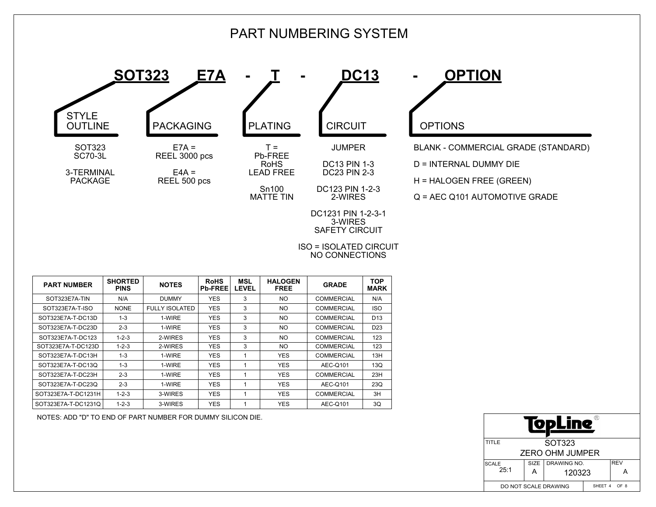## PART NUMBERING SYSTEM

**STYLE** OUTLINE SOT323 SC70-3L

> 3-TERMINAL PACKAGE



 $T =$ Pb-FREE RoHS

Sn100 MATTE TIN



DC23 PIN 2-3 DC123 PIN 1-2-3 2-WIRES

DC1231 PIN 1-2-3-1 3-WIRES SAFETY CIRCUIT

**SOT323 E7A - T - DC13 - OPTION**

BLANK - COMMERCIAL GRADE (STANDARD)

D = INTERNAL DUMMY DIE

H = HALOGEN FREE (GREEN)

Q = AEC Q101 AUTOMOTIVE GRADE

ISO = ISOLATED CIRCUIT NO CONNECTIONS

| <b>PART NUMBER</b>  | <b>SHORTED</b><br><b>PINS</b> | <b>NOTES</b>          | <b>RoHS</b><br><b>Pb-FREE</b> | <b>MSL</b><br><b>LEVEL</b> | <b>HALOGEN</b><br><b>FREE</b> | <b>GRADE</b>      | <b>TOP</b><br><b>MARK</b> |
|---------------------|-------------------------------|-----------------------|-------------------------------|----------------------------|-------------------------------|-------------------|---------------------------|
| SOT323E7A-TIN       | N/A                           | <b>DUMMY</b>          | <b>YES</b>                    | 3                          | NO.                           | <b>COMMERCIAL</b> | N/A                       |
| SOT323E7A-T-ISO     | <b>NONE</b>                   | <b>FULLY ISOLATED</b> | <b>YES</b>                    | 3                          | NO.                           | <b>COMMERCIAL</b> | <b>ISO</b>                |
| SOT323E7A-T-DC13D   | $1 - 3$                       | 1-WIRE                | <b>YES</b>                    | 3                          | NO.                           | <b>COMMERCIAL</b> | D <sub>13</sub>           |
| SOT323E7A-T-DC23D   | $2 - 3$                       | 1-WIRE                | <b>YES</b>                    | 3                          | NO.                           | <b>COMMERCIAL</b> | D <sub>23</sub>           |
| SOT323E7A-T-DC123   | $1 - 2 - 3$                   | 2-WIRES               | <b>YES</b>                    | 3                          | NO.                           | <b>COMMERCIAL</b> | 123                       |
| SOT323E7A-T-DC123D  | $1 - 2 - 3$                   | 2-WIRES               | <b>YES</b>                    | 3                          | NO.                           | <b>COMMERCIAL</b> | 123                       |
| SOT323E7A-T-DC13H   | $1 - 3$                       | 1-WIRE                | <b>YES</b>                    | 1                          | <b>YES</b>                    | <b>COMMERCIAL</b> | 13H                       |
| SOT323E7A-T-DC13Q   | $1 - 3$                       | 1-WIRE                | <b>YES</b>                    | 1                          | <b>YES</b>                    | AEC-Q101          | 13Q                       |
| SOT323E7A-T-DC23H   | $2 - 3$                       | 1-WIRE                | <b>YES</b>                    | 1                          | <b>YES</b>                    | <b>COMMERCIAL</b> | 23H                       |
| SOT323E7A-T-DC23Q   | $2 - 3$                       | 1-WIRE                | <b>YES</b>                    | 1                          | <b>YES</b>                    | AEC-Q101          | 23Q                       |
| SOT323E7A-T-DC1231H | $1 - 2 - 3$                   | 3-WIRES               | <b>YES</b>                    | 1                          | <b>YES</b>                    | <b>COMMERCIAL</b> | 3H                        |
| SOT323E7A-T-DC1231Q | $1 - 2 - 3$                   | 3-WIRES               | <b>YES</b>                    | 1                          | <b>YES</b>                    | AEC-Q101          | 3Q                        |

NOTES: ADD "D" TO END OF PART NUMBER FOR DUMMY SILICON DIE.

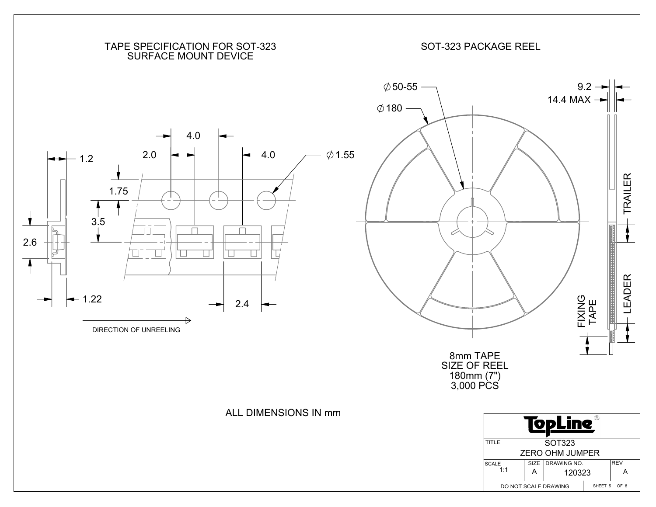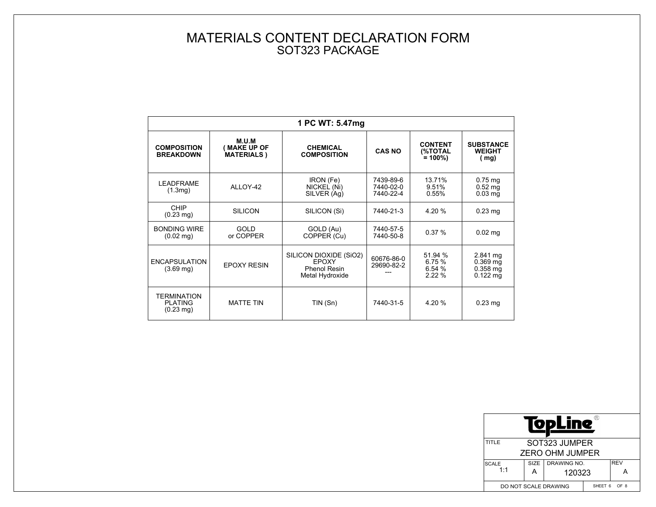## MATERIALS CONTENT DECLARATION FORM SOT323 PACKAGE

| 1 PC WT: 5.47mg                                                 |                                                     |                                                                                  |                                     |                                         |                                                              |  |  |
|-----------------------------------------------------------------|-----------------------------------------------------|----------------------------------------------------------------------------------|-------------------------------------|-----------------------------------------|--------------------------------------------------------------|--|--|
| <b>COMPOSITION</b><br><b>BREAKDOWN</b>                          | M.U.M<br><b>MAKE UP OF</b><br><b>MATERIALS</b> )    | <b>CHEMICAL</b><br><b>COMPOSITION</b>                                            | <b>CAS NO</b>                       | <b>CONTENT</b><br>(%TOTAL<br>$= 100\%)$ | <b>SUBSTANCE</b><br><b>WEIGHT</b><br>(mg)                    |  |  |
| <b>LEADFRAME</b><br>(1.3 <sub>mq</sub> )                        | IRON (Fe)<br>ALLOY-42<br>NICKEL (Ni)<br>SILVER (Ag) |                                                                                  | 7439-89-6<br>7440-02-0<br>7440-22-4 | 13.71%<br>9.51%<br>0.55%                | $0.75$ mg<br>$0.52$ mg<br>$0.03$ mg                          |  |  |
| CHIP<br><b>SILICON</b><br>$(0.23 \text{ mg})$                   |                                                     | SILICON (Si)<br>7440-21-3                                                        |                                     | 4.20 %                                  | $0.23$ mg                                                    |  |  |
| <b>BONDING WIRE</b><br>GOLD<br>or COPPER<br>$(0.02 \text{ mg})$ |                                                     | GOLD (Au)<br>COPPER (Cu)                                                         | 7440-57-5<br>7440-50-8              | 0.37%                                   | $0.02$ mg                                                    |  |  |
| <b>ENCAPSULATION</b><br>$(3.69 \text{ mg})$                     | <b>EPOXY RESIN</b>                                  | SILICON DIOXIDE (SiO2)<br><b>EPOXY</b><br><b>Phenol Resin</b><br>Metal Hydroxide | 60676-86-0<br>29690-82-2            | 51.94 %<br>6.75 %<br>6.54 %<br>222%     | 2.841 mg<br>$0.369$ mg<br>$0.358$ mg<br>$0.122 \, \text{mg}$ |  |  |
| <b>TERMINATION</b><br><b>PLATING</b><br>$(0.23 \text{ mg})$     | <b>MATTE TIN</b>                                    | TIN (Sn)                                                                         | 7440-31-5                           | 4.20 %                                  | $0.23$ mg                                                    |  |  |

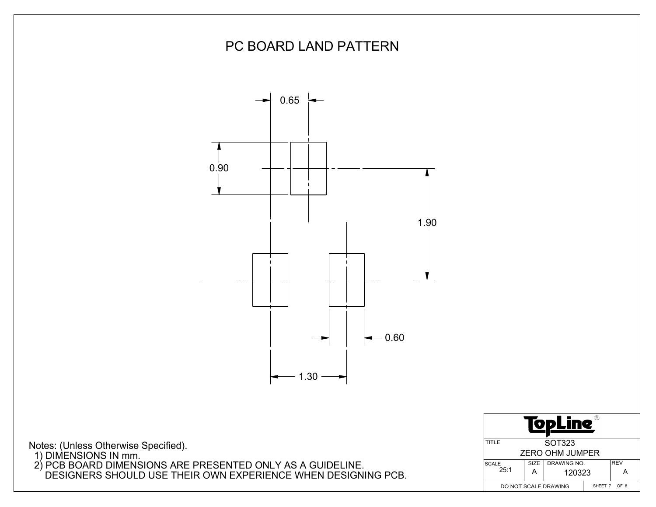